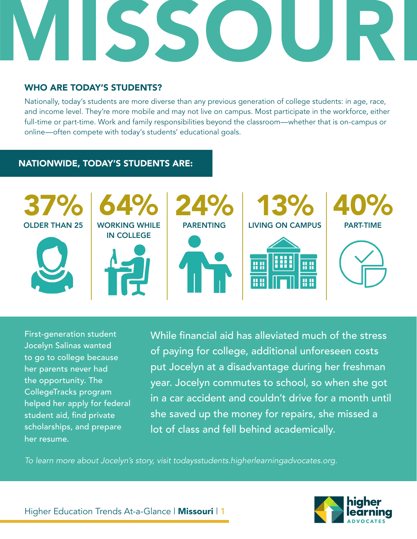# MISSOURI

### WHO ARE TODAY'S STUDENTS?

Nationally, today's students are more diverse than any previous generation of college students: in age, race, and income level. They're more mobile and may not live on campus. Most participate in the workforce, either full-time or part-time. Work and family responsibilities beyond the classroom—whether that is on-campus or online—often compete with today's students' educational goals.

### NATIONWIDE, TODAY'S STUDENTS ARE:



First-generation student Jocelyn Salinas wanted to go to college because her parents never had the opportunity. The CollegeTracks program helped her apply for federal student aid, find private scholarships, and prepare her resume.

While financial aid has alleviated much of the stress of paying for college, additional unforeseen costs put Jocelyn at a disadvantage during her freshman year. Jocelyn commutes to school, so when she got in a car accident and couldn't drive for a month until she saved up the money for repairs, she missed a lot of class and fell behind academically.

*To learn more about Jocelyn's story, visit [todaysstudents.higherlearningadvocates.org](https://todaysstudents.higherlearningadvocates.org/).*

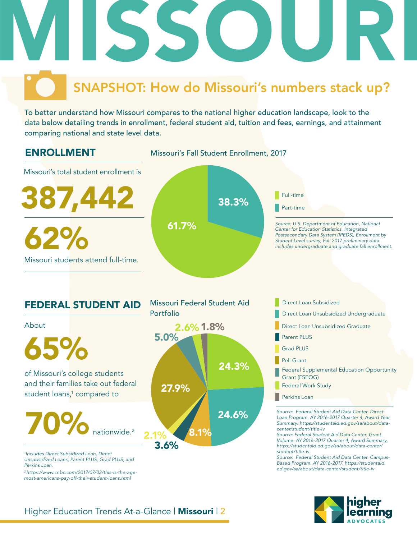To better understand how Missouri compares to the national higher education landscape, look to the data below detailing trends in enrollment, federal student aid, tuition and fees, earnings, and attainment comparing national and state level data.

### ENROLLMENT



### FEDERAL STUDENT AID



*1 Includes Direct Subsidized Loan, Direct* 

*Unsubsidized Loans, Parent PLUS, Grad PLUS, and Perkins Loan. 2 https://www.cnbc.com/2017/07/03/this-is-the-age-*

*most-americans-pay-off-their-student-loans.html*





Direct Loan Subsidized

- 
- Direct Loan Unsubsidized Graduate
- Parent PLUS
- Grad PLUS
- Pell Grant
- Federal Supplemental Education Opportunity Grant (FSEOG)
- Federal Work Study
- Perkins Loan

*Source: Federal Student Aid Data Center. Direct Loan Program. AY 2016-2017 Quarter 4, Award Year Summary. https://studentaid.ed.gov/sa/about/datacenter/student/title-iv*

*Source: Federal Student Aid Data Center. Grant Volume. AY 2016-2017 Quarter 4, Award Summary. https://studentaid.ed.gov/sa/about/data-center/ student/title-iv*

*Source: Federal Student Aid Data Center. Campus-Based Program. AY 2016-2017. https://studentaid. ed.gov/sa/about/data-center/student/title-iv*



### Higher Education Trends At-a-Glance | Missouri | 2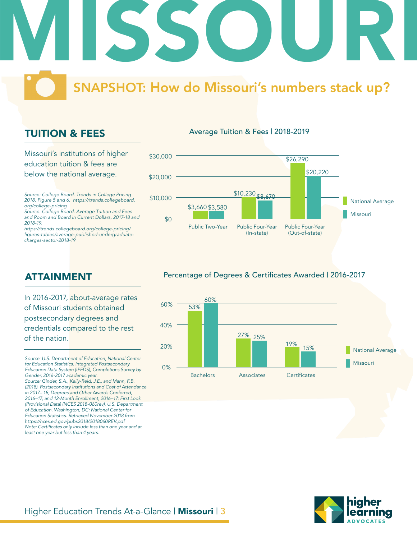### TUITION & FEES

Missouri's institutions of higher education tuition & fees are below the national average.

*Source: College Board. Trends in College Pricing 2018. Figure 5 and 6. https://trends.collegeboard. org/college-pricing*

*Source: College Board. Average Tuition and Fees and Room and Board in Current Dollars, 2017-18 and 2018-19.*

*https://trends.collegeboard.org/college-pricing/* figures-tables/average-published-undergraduate*charges-sector-2018-19*

### Average Tuition & Fees | 2018-2019



### ATTAINMENT

In 2016-2017, about-average rates of Missouri students obtained postsecondary degrees and credentials compared to the rest of the nation.

*Source: U.S. Department of Education, National Center for Education Statistics. Integrated Postsecondary Education Data System (IPEDS), Completions Survey by Gender, 2016-2017 academic year. Source: Ginder, S.A., Kelly-Reid, J.E., and Mann, F.B. (2018). Postsecondary Institutions and Cost of Attendance in 2017– 18; Degrees and Other Awards Conferred, 2016–17; and 12-Month Enrollment, 2016–17: First Look (Provisional Data) (NCES 2018-060rev). U.S. Department of Education. Washington, DC: National Center for Education Statistics. Retrieved November 2018 from https://nces.ed.gov/pubs2018/2018060REV.pdf* Note: Certificates only include less than one year and at *least one year but less than 4 years.* 

### Percentage of Degrees & Certificates Awarded | 2016-2017



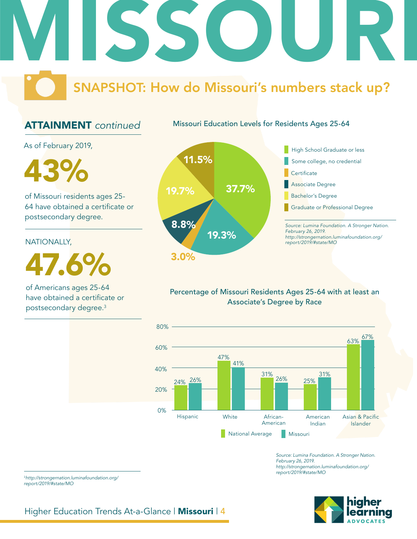### ATTAINMENT *continued*

Missouri Education Levels for Residents Ages 25-64

As of February 2019,

of Missouri residents ages 25- 64 have obtained a certificate or postsecondary degree.

NATIONALLY,

47.6%

of Americans ages 25-64 have obtained a certificate or postsecondary degree.3



Percentage of Missouri Residents Ages 25-64 with at least an Associate's Degree by Race



*Source: Lumina Foundation. A Stronger Nation. February 26, 2019. http://strongernation.luminafoundation.org/ report/2019/#state/MO*



<sup>3</sup>*http://strongernation.luminafoundation.org/ report/2019/#state/MO*

Higher Education Trends At-a-Glance | Missouri | 4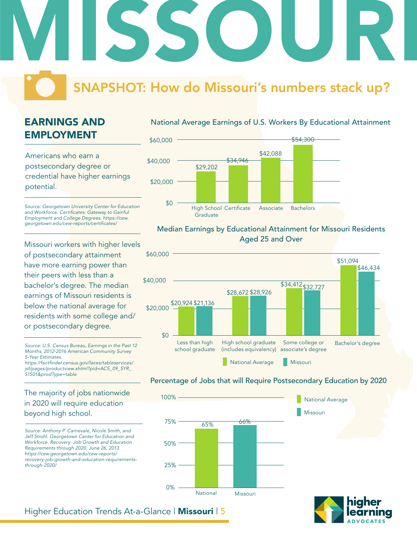### EARNINGS AND EMPLOYMENT

Americans who earn a postsecondary degree or credential have higher earnings potential.

*Source: Georgetown University Center for Education*  and Workforce. Certificates: Gateway to Gainful *Employment and College Degrees. https://cew.* georgetown.edu/cew-reports/certificates/

Missouri workers with higher levels of postsecondary attainment have more earning power than their peers with less than a bachelor's degree. The median earnings of Missouri residents is below the national average for residents with some college and/ or postsecondary degree.

*Source: U.S. Census Bureau, Earnings in the Past 12 Months, 2012-2016 American Community Survey 5-Year Estimates.* https://factfinder.census.gov/faces/tableservices/

*jsf/pages/productview.xhtml?pid=ACS\_09\_5YR\_ S1501&prodType=table*

### The majority of jobs nationwide in 2020 will require education beyond high school.

*Source: Anthony P. Carnevale, Nicole Smith, and Jeff Strohl. Georgetown Center for Education and Workforce. Recovery: Job Growth and Education Requirements through 2020. June 26, 2013. https://cew.georgetown.edu/cew-reports/ recovery-job-growth-and-education-requirementsthrough-2020/*

#### National Average Earnings of U.S. Workers By Educational Attainment



### Median Earnings by Educational Attainment for Missouri Residents Aged 25 and Over



#### Percentage of Jobs that will Require Postsecondary Education by 2020

Missouri

National Average





#### Higher Education Trends At-a-Glance | Missouri | 5